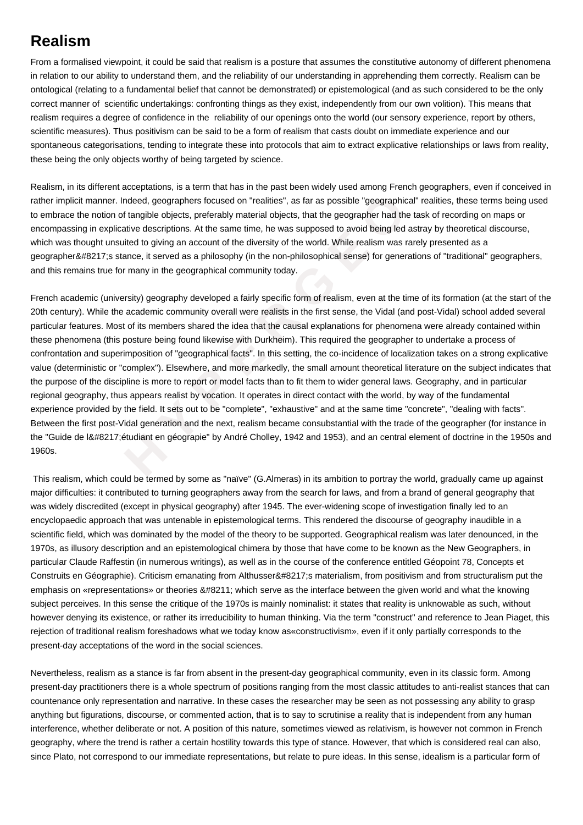## **Realism**

From a formalised viewpoint, it could be said that realism is a posture that assumes the constitutive autonomy of different phenomena in relation to our ability to understand them, and the reliability of our understanding in apprehending them correctly. Realism can be ontological (relating to a fundamental belief that cannot be demonstrated) or epistemological (and as such considered to be the only correct manner of scientific undertakings: confronting things as they exist, independently from our own volition). This means that realism requires a degree of confidence in the reliability of our openings onto the world (our sensory experience, report by others, scientific measures). Thus positivism can be said to be a form of realism that casts doubt on immediate experience and our spontaneous categorisations, tending to integrate these into protocols that aim to extract explicative relationships or laws from reality, these being the only objects worthy of being targeted by science.

Realism, in its different acceptations, is a term that has in the past been widely used among French geographers, even if conceived in rather implicit manner. Indeed, geographers focused on "realities", as far as possible "geographical" realities, these terms being used to embrace the notion of tangible objects, preferably material objects, that the geographer had the task of recording on maps or encompassing in explicative descriptions. At the same time, he was supposed to avoid being led astray by theoretical discourse, which was thought unsuited to giving an account of the diversity of the world. While realism was rarely presented as a geographer&#8217:s stance, it served as a philosophy (in the non-philosophical sense) for generations of "traditional" geographers, and this remains true for many in the geographical community today.

nner. Indeed, geographers focused on "realities", as far as possible "geographical"<br>
otion of tangible objects, preferably material objects, that the geographer had the tal<br>
explicative descriptions. At the same time, he w French academic (university) geography developed a fairly specific form of realism, even at the time of its formation (at the start of the 20th century). While the academic community overall were realists in the first sense, the Vidal (and post-Vidal) school added several particular features. Most of its members shared the idea that the causal explanations for phenomena were already contained within these phenomena (this posture being found likewise with Durkheim). This required the geographer to undertake a process of confrontation and superimposition of "geographical facts". In this setting, the co-incidence of localization takes on a strong explicative value (deterministic or "complex"). Elsewhere, and more markedly, the small amount theoretical literature on the subject indicates that the purpose of the discipline is more to report or model facts than to fit them to wider general laws. Geography, and in particular regional geography, thus appears realist by vocation. It operates in direct contact with the world, by way of the fundamental experience provided by the field. It sets out to be "complete", "exhaustive" and at the same time "concrete", "dealing with facts". Between the first post-Vidal generation and the next, realism became consubstantial with the trade of the geographer (for instance in the "Guide de I'étudiant en géograpie" by André Cholley, 1942 and 1953), and an central element of doctrine in the 1950s and 1960s.

 This realism, which could be termed by some as "naïve" (G.Almeras) in its ambition to portray the world, gradually came up against major difficulties: it contributed to turning geographers away from the search for laws, and from a brand of general geography that was widely discredited (except in physical geography) after 1945. The ever-widening scope of investigation finally led to an encyclopaedic approach that was untenable in epistemological terms. This rendered the discourse of geography inaudible in a scientific field, which was dominated by the model of the theory to be supported. Geographical realism was later denounced, in the 1970s, as illusory description and an epistemological chimera by those that have come to be known as the New Geographers, in particular Claude Raffestin (in numerous writings), as well as in the course of the conference entitled Géopoint 78, Concepts et Construits en Géographie). Criticism emanating from Althusser&#8217:s materialism, from positivism and from structuralism put the emphasis on «representations» or theories – which serve as the interface between the given world and what the knowing subject perceives. In this sense the critique of the 1970s is mainly nominalist: it states that reality is unknowable as such, without however denying its existence, or rather its irreducibility to human thinking. Via the term "construct" and reference to Jean Piaget, this rejection of traditional realism foreshadows what we today know as«constructivism», even if it only partially corresponds to the present-day acceptations of the word in the social sciences.

Nevertheless, realism as a stance is far from absent in the present-day geographical community, even in its classic form. Among present-day practitioners there is a whole spectrum of positions ranging from the most classic attitudes to anti-realist stances that can countenance only representation and narrative. In these cases the researcher may be seen as not possessing any ability to grasp anything but figurations, discourse, or commented action, that is to say to scrutinise a reality that is independent from any human interference, whether deliberate or not. A position of this nature, sometimes viewed as relativism, is however not common in French geography, where the trend is rather a certain hostility towards this type of stance. However, that which is considered real can also, since Plato, not correspond to our immediate representations, but relate to pure ideas. In this sense, idealism is a particular form of